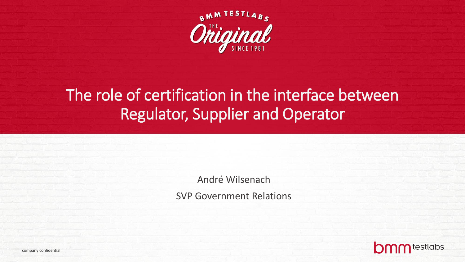

# The role of certification in the interface between Regulator, Supplier and Operator

André Wilsenach SVP Government Relations



company confidential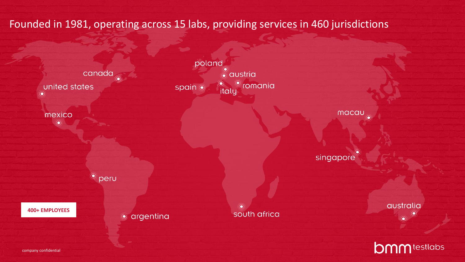Founded in 1981, operating across 15 labs, providing services in 460 jurisdictions

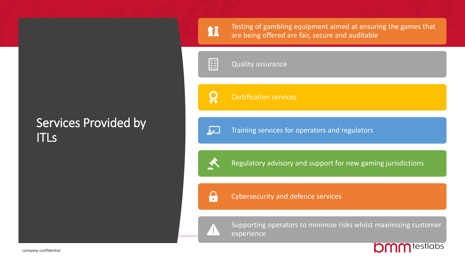### Services Provided by ITLs

Testing of gambling equipment aimed at ensuring the games that are being offered are fair, secure and auditable

**KILL** Quality assurance

**SI** 

 $\boldsymbol{\Omega}$ 

 $\overline{\mathbf{z}}$ 

Certification services

Training services for operators and regulators

 $\Omega$ 

Regulatory advisory and support for new gaming jurisdictions

Cybersecurity and defence services

Supporting operators to minimize risks whilst maximizing customer experience

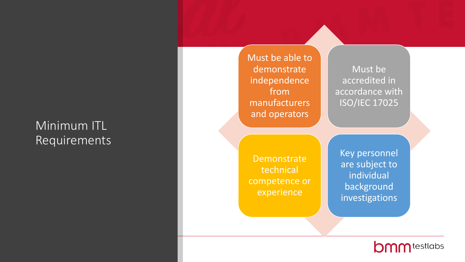# Minimum ITL Requirements

Must be able to demonstrate independence from manufacturers and operators

Must be accredited in accordance with ISO/IEC 17025

**Demonstrate** technical competence or experience

Key personnel are subject to individual background investigations

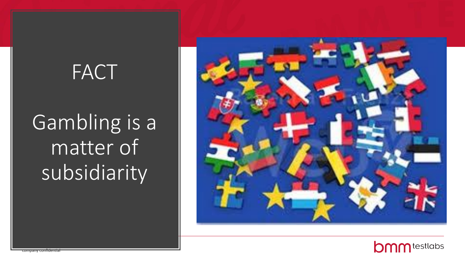# **FACT**

Gambling is a matter of subsidiarity



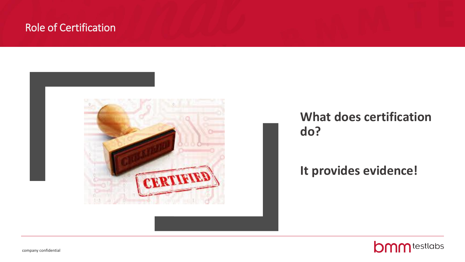### Role of Certification



# **What does certification do?**

### **It provides evidence!**

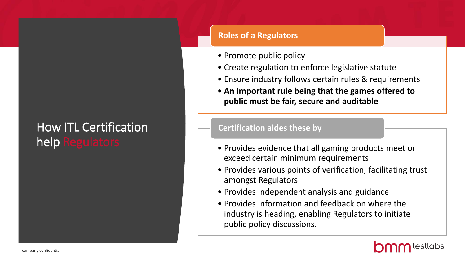# How ITL Certification help Regulators

#### **Roles of a Regulators**

- Promote public policy
- Create regulation to enforce legislative statute
- Ensure industry follows certain rules & requirements
- **An important rule being that the games offered to public must be fair, secure and auditable**

#### **Certification aides these by**

- Provides evidence that all gaming products meet or exceed certain minimum requirements
- Provides various points of verification, facilitating trust amongst Regulators
- Provides independent analysis and guidance
- Provides information and feedback on where the industry is heading, enabling Regulators to initiate public policy discussions.

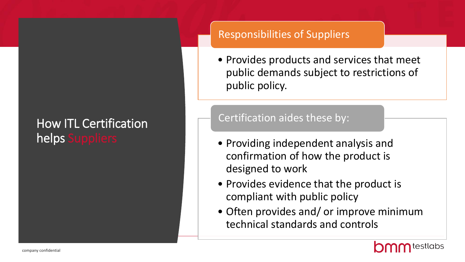# How ITL Certification helps Suppliers

### Responsibilities of Suppliers

• Provides products and services that meet public demands subject to restrictions of public policy.

### Certification aides these by:

- Providing independent analysis and confirmation of how the product is designed to work
- Provides evidence that the product is compliant with public policy
- Often provides and/ or improve minimum technical standards and controls

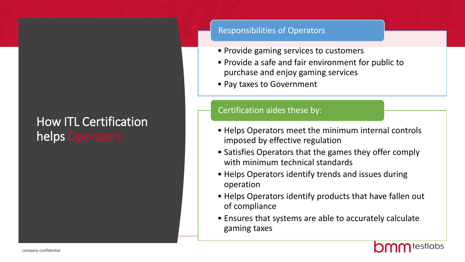# How ITL Certification helps Operators

#### Responsibilities of Operators

- Provide gaming services to customers
- Provide a safe and fair environment for public to purchase and enjoy gaming services
- Pay taxes to Government

#### Certification aides these by:

- Helps Operators meet the minimum internal controls imposed by effective regulation
- Satisfies Operators that the games they offer comply with minimum technical standards
- Helps Operators identify trends and issues during operation
- Helps Operators identify products that have fallen out of compliance
- Ensures that systems are able to accurately calculate gaming taxes